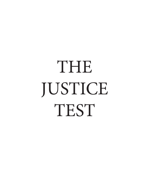# THE JUSTICE **TEST**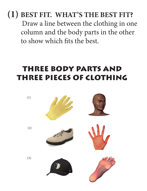**(1) BEST FIT. WHAT'S THE BEST FIT?** Draw a line between the clothing in one column and the body parts in the other to show which fits the best.

#### THREE BODY PARTS AND THREE PIECES OF CLOTHING

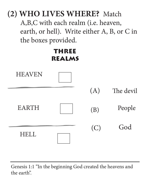

Genesis 1:1 "In the beginning God created the heavens and the earth".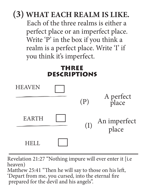

Revelation 21:27 "Nothing impure will ever enter it [i.e heaven) Matthew 25:41 "Then he will say to those on his left, 'Depart from me, you cursed, into the eternal fire prepared for the devil and his angels".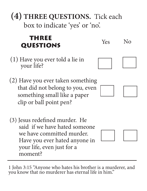**(4) THREE QUESTIONS.** Tick each box to indicate 'yes' or 'no'.

#### THREE **QUESTIONS**

- (1) Have you ever told a lie in your life?
- (2) Have you ever taken something that did not belong to you, even something small like a paper clip or ball point pen?
- (3) Jesus redefined murder. He said if we have hated someone we have committed murder. Have you ever hated anyone in your life, even just for a moment?

1 John 3:15 "Anyone who hates his brother is a murderer, and you know that no murderer has eternal life in him."

# Yes No







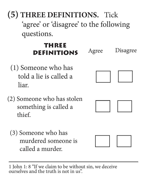**(5) THREE DEFINITIONS.** Tick 'agree' or 'disagree' to the following questions.

#### THREE **DEFINITIONS** Agree Disagree

- (1) Someone who has told a lie is called a liar.
- (2) Someone who has stolen something is called a thief.
	- (3) Someone who has murdered someone is called a murder.







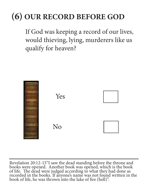# **(6) OUR RECORD BEFORE GOD**

If God was keeping a record of our lives, would thieving, lying, murderers like us qualify for heaven?



Revelation 20:12-15"I saw the dead standing before the throne and books were opened. Another book was opened, which is the book of life. The dead were judged according to what they had done as recorded in the books. If anyone's name was not found written in the book of life, he was thrown into the lake of fire (hell)".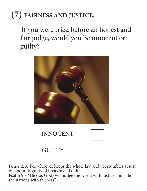# **(7) FAIRNESS AND JUSTICE.**

If you were tried before an honest and fair judge, would you be innocent or guilty?



INNOCENT



**GUILTY** 



James 2:10 For whoever keeps the whole law and yet stumbles at just one point is guilty of breaking all of it.

Psalm 9:8 "He (i.e. God) will judge the world with justice and rule the nations with fairness".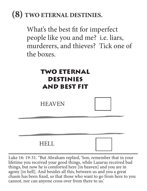## **(8) TWO ETERNAL DESTINIES.**

What's the best fit for imperfect people like you and me? i.e. liars, murderers, and thieves? Tick one of the boxes.

#### TWO ETERNAL DESTINIES AND BEST FIT

**HEAVEN** 

#### HELL



Luke 16: 19-31. "But Abraham replied, 'Son, remember that in your lifetime you received your good things, while Lazarus received bad things, but now he is comforted here [in heaven] and you are in agony [in hell]. And besides all this, between us and you a great chasm has been fixed, so that those who want to go from here to you cannot, nor can anyone cross over from there to us.'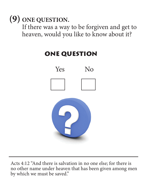**(9) ONE QUESTION.** 

If there was a way to be forgiven and get to heaven, would you like to know about it?

# Yes No ONE QUESTION

Acts 4:12 "And there is salvation in no one else; for there is no other name under heaven that has been given among men by which we must be saved."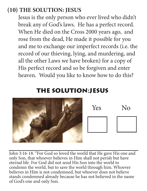#### **(10) THE SOLUTION: JESUS**

Jesus is the only person who ever lived who didn't break any of God's laws. He has a perfect record. When He died on the Cross 2000 years ago, and rose from the dead, He made it possible for you and me to exchange our imperfect records (i.e. the record of our thieving, lying, and murdering, and all the other Laws we have broken) for a copy of His perfect record and so be forgiven and enter heaven. Would you like to know how to do this?

#### THE SOLUTION:JESUS



Yes No

John 3:16-18. "For God so loved the world that He gave His one and only Son, that whoever believes in Him shall not perish but have eternal life For God did not send His Son into the world to condemn the world, but to save the world through him. Whoever believes in Him is not condemned, but whoever does not believe stands condemned already because he has not believed in the name of God's one and only Son.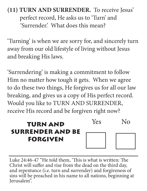#### **(11) TURN AND SURRENDER.** To receive Jesus' perfect record, He asks us to 'Turn' and 'Surrender.' What does this mean?

'Turning' is when we are sorry for, and sincerely turn away from our old lifestyle of living without Jesus and breaking His laws.

'Surrendering' is making a commitment to follow Him no matter how tough it gets. When we agree to do these two things, He forgives us for all our law breaking, and gives us a copy of His perfect record. Would you like to TURN AND SURRENDER, receive His record and be forgiven right now?

#### TURN AND SURRENDER AND BE FORGIVEN



Luke 24:46-47 "He told them, 'This is what is written: The Christ will suffer and rise from the dead on the third day, and repentance (i.e. turn and surrender) and forgiveness of sins will be preached in his name to all nations, beginning at Jerusalem".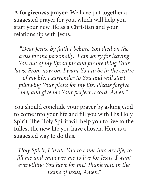**A forgiveness prayer:** We have put together a suggested prayer for you, which will help you start your new life as a Christian and your relationship with Jesus.

*"Dear Jesus, by faith I believe You died on the cross for me personally. I am sorry for leaving You out of my life so far and for breaking Your laws. From now on, I want You to be in the centre of my life. I surrender to You and will start following Your plans for my life. Please forgive me, and give me Your perfect record. Amen."*

You should conclude your prayer by asking God to come into your life and fill you with His Holy Spirit. The Holy Spirit will help you to live to the fullest the new life you have chosen. Here is a suggested way to do this.

*"Holy Spirit, I invite You to come into my life, to fill me and empower me to live for Jesus. I want everything You have for me! Thank you, in the name of Jesus, Amen."*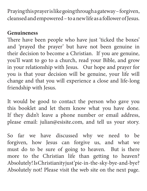Praying this prayer is like going through a gateway – forgiven, cleansed and empowered – to a new life as a follower of Jesus.

#### **Genuineness**

There have been people who have just 'ticked the boxes' and 'prayed the prayer' but have not been genuine in their decision to become a Christian. If you are genuine, you'll want to go to a church, read your Bible, and grow in your relationship with Jesus. Our hope and prayer for you is that your decision will be genuine, your life will change and that you will experience a close and life-long friendship with Jesus.

It would be good to contact the person who gave you this booklet and let them know what you have done. If they didn't leave a phone number or email address, please email: julian@esisite.com, and tell us your story.

So far we have discussed why we need to be forgiven, how Jesus can forgive us, and what we must do to be sure of going to heaven. But is there more to the Christian life than getting to heaven? Absolutely! Is Christianity just 'pie-in-the-sky-bye-and-bye? Absolutely not! Please visit the web site on the next page.